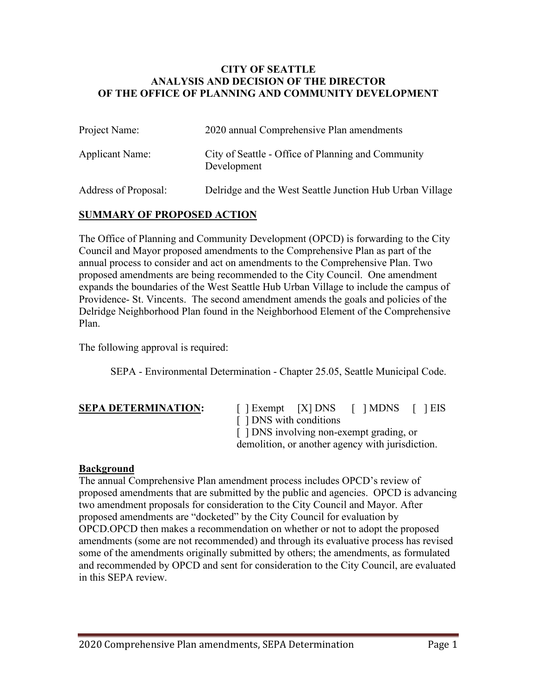#### **CITY OF SEATTLE ANALYSIS AND DECISION OF THE DIRECTOR OF THE OFFICE OF PLANNING AND COMMUNITY DEVELOPMENT**

| Project Name:          | 2020 annual Comprehensive Plan amendments                         |
|------------------------|-------------------------------------------------------------------|
| <b>Applicant Name:</b> | City of Seattle - Office of Planning and Community<br>Development |
| Address of Proposal:   | Delridge and the West Seattle Junction Hub Urban Village          |

### **SUMMARY OF PROPOSED ACTION**

The Office of Planning and Community Development (OPCD) is forwarding to the City Council and Mayor proposed amendments to the Comprehensive Plan as part of the annual process to consider and act on amendments to the Comprehensive Plan. Two proposed amendments are being recommended to the City Council. One amendment expands the boundaries of the West Seattle Hub Urban Village to include the campus of Providence- St. Vincents. The second amendment amends the goals and policies of the Delridge Neighborhood Plan found in the Neighborhood Element of the Comprehensive Plan.

The following approval is required:

SEPA - Environmental Determination - Chapter 25.05, Seattle Municipal Code.

 $\begin{bmatrix} \end{bmatrix}$  Exempt  $\begin{bmatrix} X \end{bmatrix}$  DNS  $\begin{bmatrix} \end{bmatrix}$  MDNS  $\begin{bmatrix} \end{bmatrix}$  EIS [  $\vert$  DNS with conditions [  $\vert$  DNS involving non-exempt grading, or demolition, or another agency with jurisdiction.

### **Background**

The annual Comprehensive Plan amendment process includes OPCD's review of proposed amendments that are submitted by the public and agencies. OPCD is advancing two amendment proposals for consideration to the City Council and Mayor. After proposed amendments are "docketed" by the City Council for evaluation by OPCD.OPCD then makes a recommendation on whether or not to adopt the proposed amendments (some are not recommended) and through its evaluative process has revised some of the amendments originally submitted by others; the amendments, as formulated and recommended by OPCD and sent for consideration to the City Council, are evaluated in this SEPA review.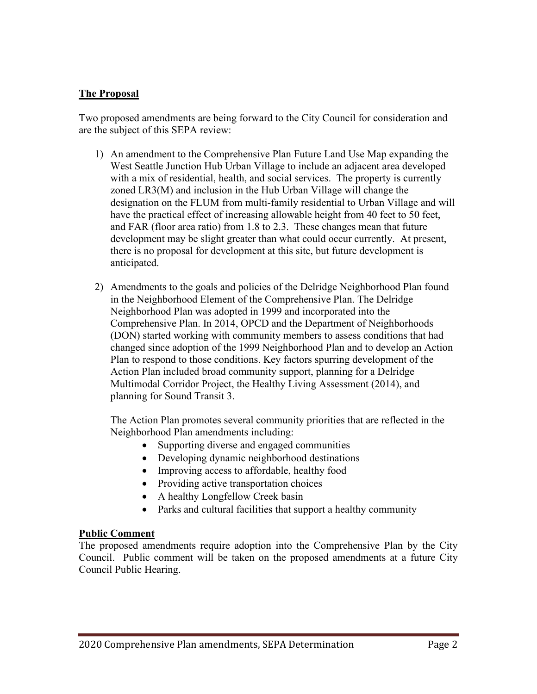### **The Proposal**

Two proposed amendments are being forward to the City Council for consideration and are the subject of this SEPA review:

- 1) An amendment to the Comprehensive Plan Future Land Use Map expanding the West Seattle Junction Hub Urban Village to include an adjacent area developed with a mix of residential, health, and social services. The property is currently zoned LR3(M) and inclusion in the Hub Urban Village will change the designation on the FLUM from multi-family residential to Urban Village and will have the practical effect of increasing allowable height from 40 feet to 50 feet, and FAR (floor area ratio) from 1.8 to 2.3. These changes mean that future development may be slight greater than what could occur currently. At present, there is no proposal for development at this site, but future development is anticipated.
- 2) Amendments to the goals and policies of the Delridge Neighborhood Plan found in the Neighborhood Element of the Comprehensive Plan. The Delridge Neighborhood Plan was adopted in 1999 and incorporated into the Comprehensive Plan. In 2014, OPCD and the Department of Neighborhoods (DON) started working with community members to assess conditions that had changed since adoption of the 1999 Neighborhood Plan and to develop an Action Plan to respond to those conditions. Key factors spurring development of the Action Plan included broad community support, planning for a Delridge Multimodal Corridor Project, the Healthy Living Assessment (2014), and planning for Sound Transit 3.

The Action Plan promotes several community priorities that are reflected in the Neighborhood Plan amendments including:

- Supporting diverse and engaged communities
- Developing dynamic neighborhood destinations
- Improving access to affordable, healthy food
- Providing active transportation choices
- A healthy Longfellow Creek basin
- Parks and cultural facilities that support a healthy community

### **Public Comment**

The proposed amendments require adoption into the Comprehensive Plan by the City Council. Public comment will be taken on the proposed amendments at a future City Council Public Hearing.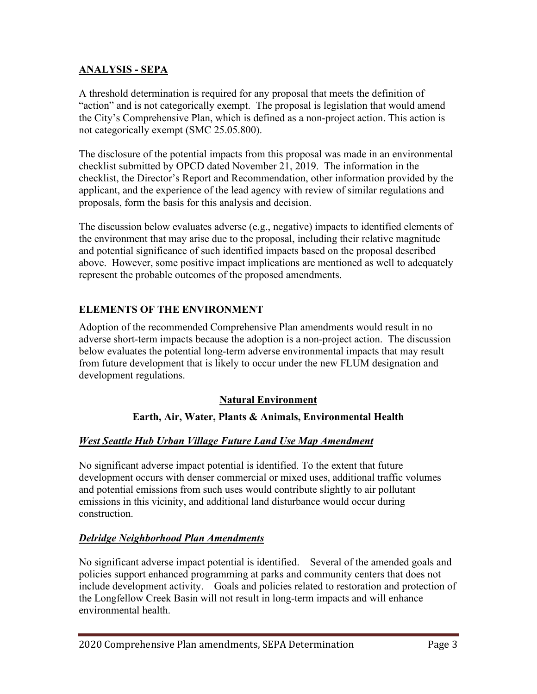# **ANALYSIS - SEPA**

A threshold determination is required for any proposal that meets the definition of "action" and is not categorically exempt. The proposal is legislation that would amend the City's Comprehensive Plan, which is defined as a non-project action. This action is not categorically exempt (SMC 25.05.800).

The disclosure of the potential impacts from this proposal was made in an environmental checklist submitted by OPCD dated November 21, 2019. The information in the checklist, the Director's Report and Recommendation, other information provided by the applicant, and the experience of the lead agency with review of similar regulations and proposals, form the basis for this analysis and decision.

The discussion below evaluates adverse (e.g., negative) impacts to identified elements of the environment that may arise due to the proposal, including their relative magnitude and potential significance of such identified impacts based on the proposal described above. However, some positive impact implications are mentioned as well to adequately represent the probable outcomes of the proposed amendments.

## **ELEMENTS OF THE ENVIRONMENT**

Adoption of the recommended Comprehensive Plan amendments would result in no adverse short-term impacts because the adoption is a non-project action. The discussion below evaluates the potential long-term adverse environmental impacts that may result from future development that is likely to occur under the new FLUM designation and development regulations.

### **Natural Environment**

### **Earth, Air, Water, Plants & Animals, Environmental Health**

### *West Seattle Hub Urban Village Future Land Use Map Amendment*

No significant adverse impact potential is identified. To the extent that future development occurs with denser commercial or mixed uses, additional traffic volumes and potential emissions from such uses would contribute slightly to air pollutant emissions in this vicinity, and additional land disturbance would occur during construction.

### *Delridge Neighborhood Plan Amendments*

No significant adverse impact potential is identified. Several of the amended goals and policies support enhanced programming at parks and community centers that does not include development activity. Goals and policies related to restoration and protection of the Longfellow Creek Basin will not result in long-term impacts and will enhance environmental health.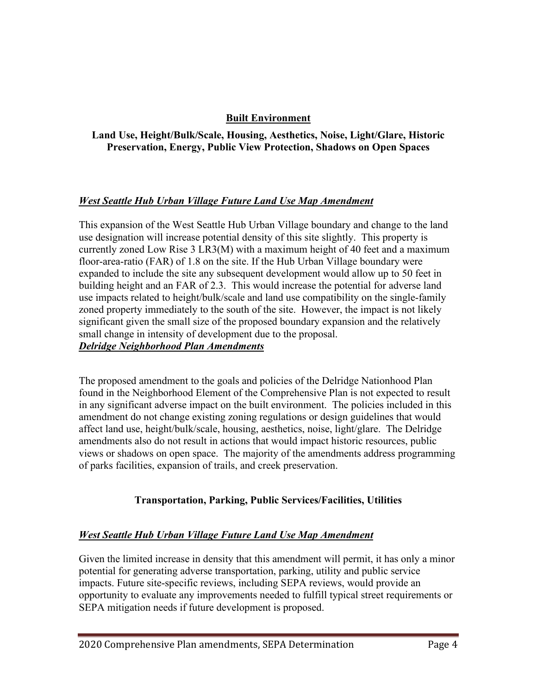## **Built Environment**

### **Land Use, Height/Bulk/Scale, Housing, Aesthetics, Noise, Light/Glare, Historic Preservation, Energy, Public View Protection, Shadows on Open Spaces**

### *West Seattle Hub Urban Village Future Land Use Map Amendment*

This expansion of the West Seattle Hub Urban Village boundary and change to the land use designation will increase potential density of this site slightly. This property is currently zoned Low Rise 3 LR3(M) with a maximum height of 40 feet and a maximum floor-area-ratio (FAR) of 1.8 on the site. If the Hub Urban Village boundary were expanded to include the site any subsequent development would allow up to 50 feet in building height and an FAR of 2.3. This would increase the potential for adverse land use impacts related to height/bulk/scale and land use compatibility on the single-family zoned property immediately to the south of the site. However, the impact is not likely significant given the small size of the proposed boundary expansion and the relatively small change in intensity of development due to the proposal. *Delridge Neighborhood Plan Amendments*

The proposed amendment to the goals and policies of the Delridge Nationhood Plan found in the Neighborhood Element of the Comprehensive Plan is not expected to result in any significant adverse impact on the built environment. The policies included in this amendment do not change existing zoning regulations or design guidelines that would affect land use, height/bulk/scale, housing, aesthetics, noise, light/glare. The Delridge amendments also do not result in actions that would impact historic resources, public views or shadows on open space. The majority of the amendments address programming of parks facilities, expansion of trails, and creek preservation.

# **Transportation, Parking, Public Services/Facilities, Utilities**

### *West Seattle Hub Urban Village Future Land Use Map Amendment*

Given the limited increase in density that this amendment will permit, it has only a minor potential for generating adverse transportation, parking, utility and public service impacts. Future site-specific reviews, including SEPA reviews, would provide an opportunity to evaluate any improvements needed to fulfill typical street requirements or SEPA mitigation needs if future development is proposed.